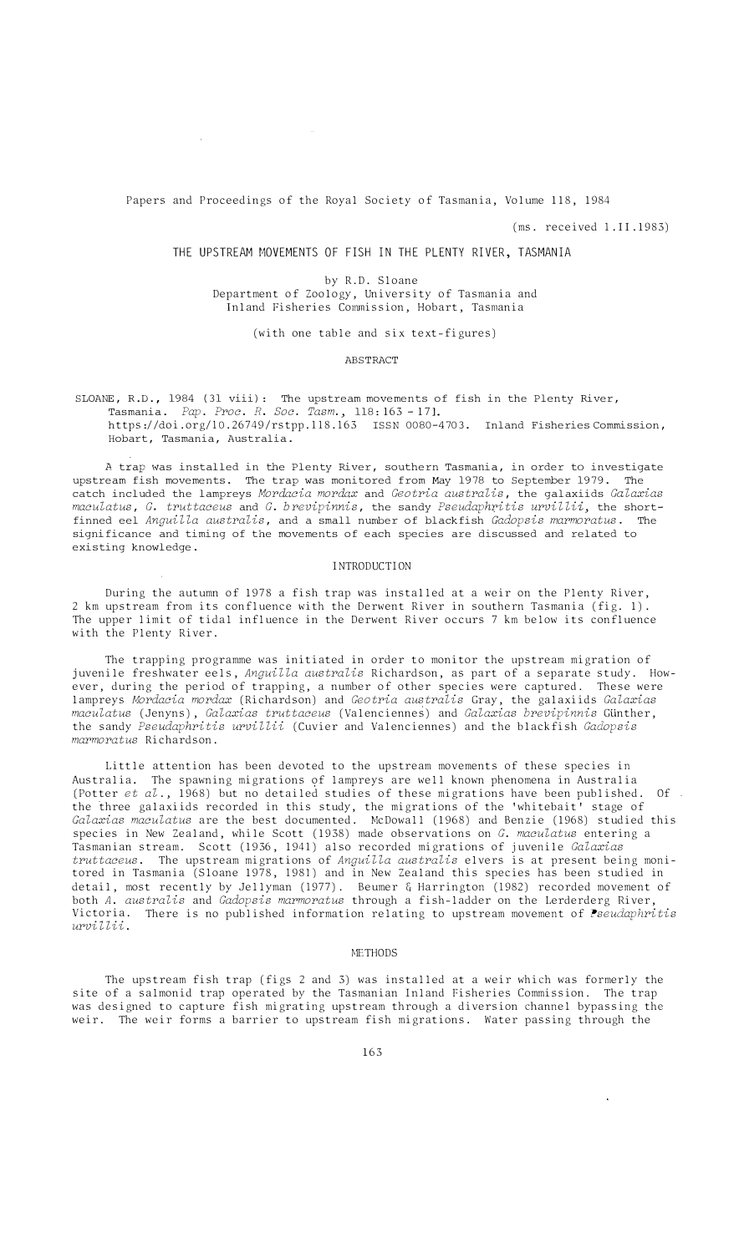Papers and Proceedings of the Royal Society of Tasmania, Volume 118, 1984

 $\sim$   $\mu$ 

(ms. received 1.11.1983)

# THE UPSTREAM MOVEMENTS OF FISH IN THE PLENTY RIVER, TASMANIA

by R.D. Sloane Department of Zoology, University of Tasmania and Inland Fisheries Commission, Hobart, Tasmania

(with one table and six text-figures)

### **ABSTRACT**

SLOANE, R.D., 1984 (31 viii): The upstream movements of fish in the Plenty River, Tasmania. *Pap. Proc. R. Soc. Tasm.,* 118: 163 -171. https://doi.org/10.26749/rstpp.118.163 ISSN 0080-4703. Inland Fisheries Commission, Hobart, Tasmania, Australia.

A trap was installed in the Plenty River, southern Tasmania, in order to investigate upstream fish movements. The trap was monitored from May 1978 to September 1979. The catch included the lampreys *Mordacia mordax* and *Geotria australis,* the galaxiids *Galaxias maculatus, G. truttaceus* and *G. brevipinnis,* the sandy *Pseudaphritis urvillii,* the shortfinned eel *Anguilla australis,* and a small number of blackfish *Gadopsis marmoratus.* The significance and timing of the movements of each species are discussed and related to existing knowledge.

## INTRODUCTION

During the autumn of 1978 a fish trap was installed at a weir on the Plenty River, 2 km upstream from its confluence with the Derwent River in southern Tasmania (fig. 1). The upper limit of tidal influence in the Derwent River occurs 7 km below its confluence with the Plenty River.

The trapping programme was initiated in order to monitor the upstream migration of juvenile freshwater eels, *Anguilla australis* Richardson, as part of a separate study. However, during the period of trapping, a number of other species were captured. These were lampreys *Mordacia mordax* (Richardson) and *Geotria australis* Gray, the galaxiids *Galaxias maculatus* (Jenyns), *Galaxias truttaceus* (Valenciennes) and *Galaxias brevipinnis* GUnther, the sandy *Pseudaphritis urvillii* (Cuvier and Valenciennes) and the blackfish *Gadopsis marmoratus* Richardson.

Little attention has been devoted to the upstream movements of these species in Australia. The spawning migrations of lampreys are well known phenomena in Australia (Potter *et al.,* 1968) but no detailed studies of these migrations have been published. Of the three galaxiids recorded in this study, the migrations of the 'whitebait' stage of *Galaxias maculatus* are the best documented. McDowall (1968) and Benzie (1968) studied this species in New Zealand, while Scott (1938) made observations on *G. maculatus* entering a Tasmanian stream. Scott (1936, 1941) also recorded migrations of juvenile *Galaxias truttaceus.* The upstream migrations of *Anguilla australis* elvers is at present being monitored in Tasmania (Sloane 1978, 1981) and in New Zealand this species has been studied in detail, most recently by Jellyman (1977). Beumer & Harrington (1982) recorded movement of both *A. australis* and *Gadopsis marmoratus* through a fish-ladder on the Lerderderg River, Victoria. There is no published information relating to upstream movement of *Pseudaphritis urviUii.* 

## **METHODS**

The upstream fish trap (figs 2 and 3) was installed at a weir which was formerly the site of a salmonid trap operated by the Tasmanian Inland Fisheries Commission. The trap was designed to capture fish migrating upstream through a diversion channel bypassing the weir. The weir forms a barrier to upstream fish migrations. Water passing through the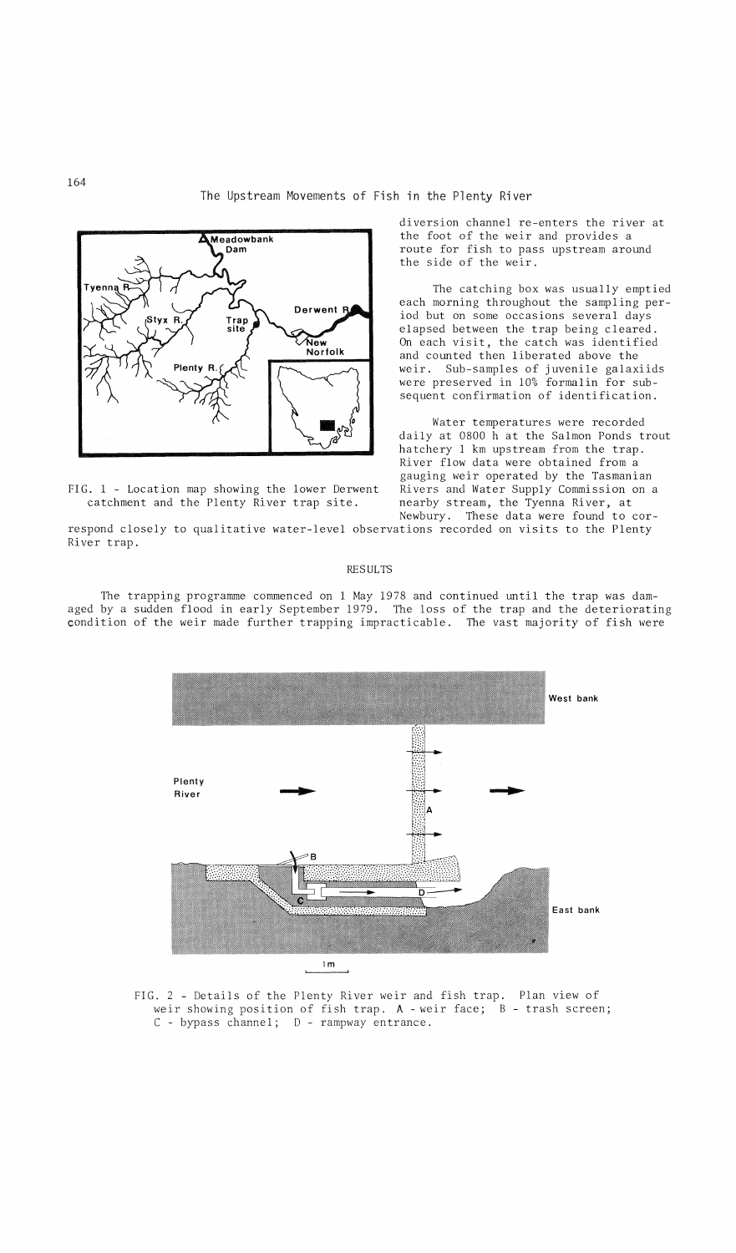

FIG. 1 - Location map showing the lower Derwent catchment and the Plenty River trap site.

diversion channel re-enters the river at the foot of the weir and provides a route for fish to pass upstream around the side of the weir.

The catching box was usually emptied each morning throughout the sampling period but on some occasions several days elapsed between the trap being cleared. On each visit, the catch was identified and counted then liberated above the weir. Sub-samples of juvenile galaxiids were preserved in 10% formalin for subsequent confirmation of identification.

Water temperatures were recorded daily at 0800 h at the Salmon Ponds trout hatchery 1 km upstream from the trap. River flow data were obtained from a gauging weir operated by the Tasmanian Rivers and Water Supply Commission on a nearby stream, the Tyenna River, at Newbury. These data were found to cor-

respond closely to qualitative water-level observations recorded on visits to the Plenty River trap.

#### RESULTS

The trapping programme commenced on 1 May 1978 and continued until the trap was damaged by a sudden flood in early September 1979. The loss of the trap and the deteriorating condition of the weir made further trapping impracticable. The vast majority of fish were



FIG. 2 - Details of the Plenty River weir and fish trap. Plan view of weir showing position of fish trap. A - weir face; B - trash screen; C - bypass channel; D - rampway entrance.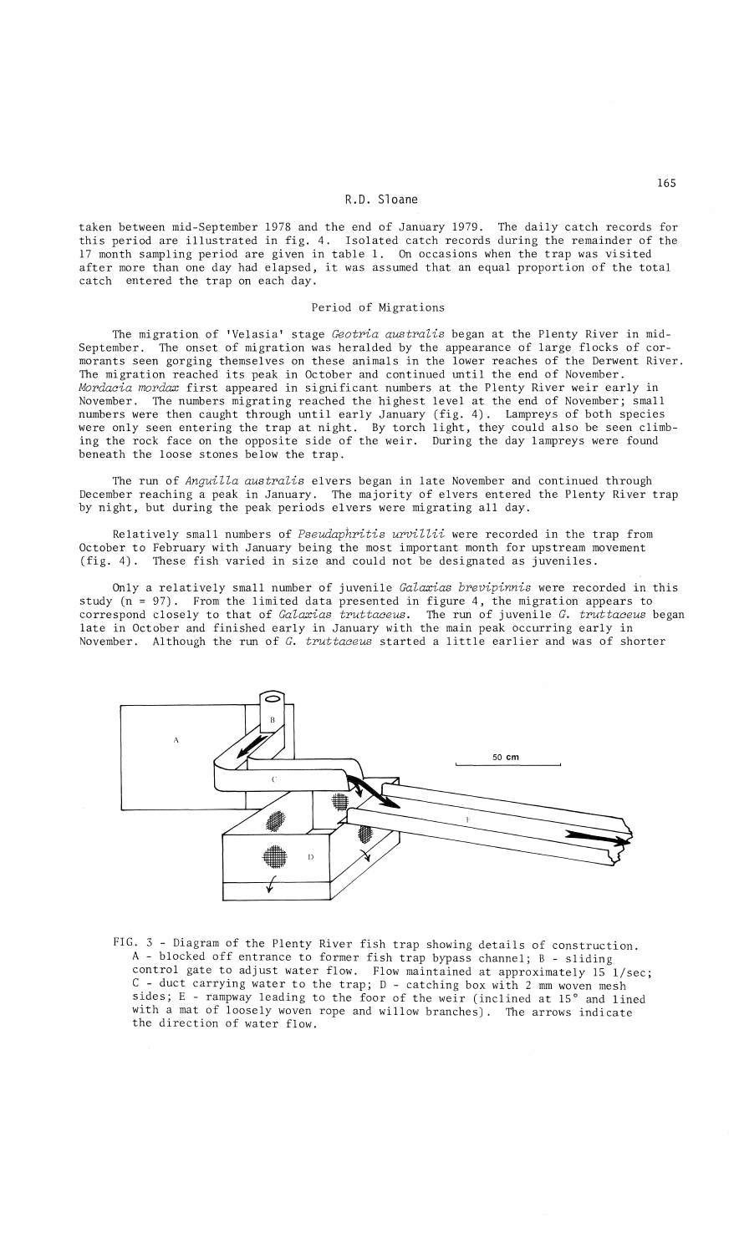## **R.D.** Sloane

taken between mid-September 1978 and the end of January 1979. The daily catch records for this period are illustrated in fig. 4. Isolated catch records during the remainder of the 17 month sampling period are given in table **1.** On occasions when the trap was visited after more than one day had elapsed, it was assumed that an equal proportion of the total catch entered the trap on each day.

#### Period of Migrations

The migration of 'Velasia' stage *Geotria australis* began at the Plenty River in mid-September. The onset of migration was heralded by the appearance of large flocks of cormorants seen gorging themselves on these animals in the lower reaches of the Derwent River.<br>The migration reached its peak in October and continued until the end of November. *Mordacia mordax* first appeared in significant numbers at the Plenty River weir early in November. The numbers migrating reached the highest level at the end of November; small numbers were then caught through until early January (fig. 4). Lampreys of both species were only seen entering the trap at night. By torch light, they could also be seen climbing the rock face on the opposite side of the weir. During the day lampreys were found beneath the loose stones below the trap.

The run of *Anguilla australis* elvers began in late November and continued through December reaching a peak in January. The majority of elvers entered the Plenty River trap by night, but during the peak periods elvers were migrating all day.

Relatively small numbers of *Pseudaphritis urvillii* were recorded in the trap from October to February with January being the most important month for upstream movement (fig. 4). These fish varied in size and could not be designated as juveniles.

Only a relatively small number of juvenile *Galaxias brevipinnis* were recorded in this study (n = 97). From the limited data presented in figure 4, the migration appears to correspond closely to that of *Galaxias truttaceus.* The run of juvenile *G. truttaceus* began late in October and finished early in January with the main peak occurring early in November. Although the run of *G. truttaceus* started <sup>a</sup> little earlier and was of shorter



FIG. 3 - Diagram of the Plenty River fish trap showing details of construction. A - blocked off entrance to former fish trap bypass channel; B - sliding control gate to adjust water flow. Flow maintained at approximately  $15$  l/sec; C - duct carrying water to the trap; D - catching box with 2 mm woven mesh sides; E - rampway leading to the foor of the weir (inclined at 15° and lined with a mat of loosely woven rope and willow branches). The arrows indicate the direction of water flow.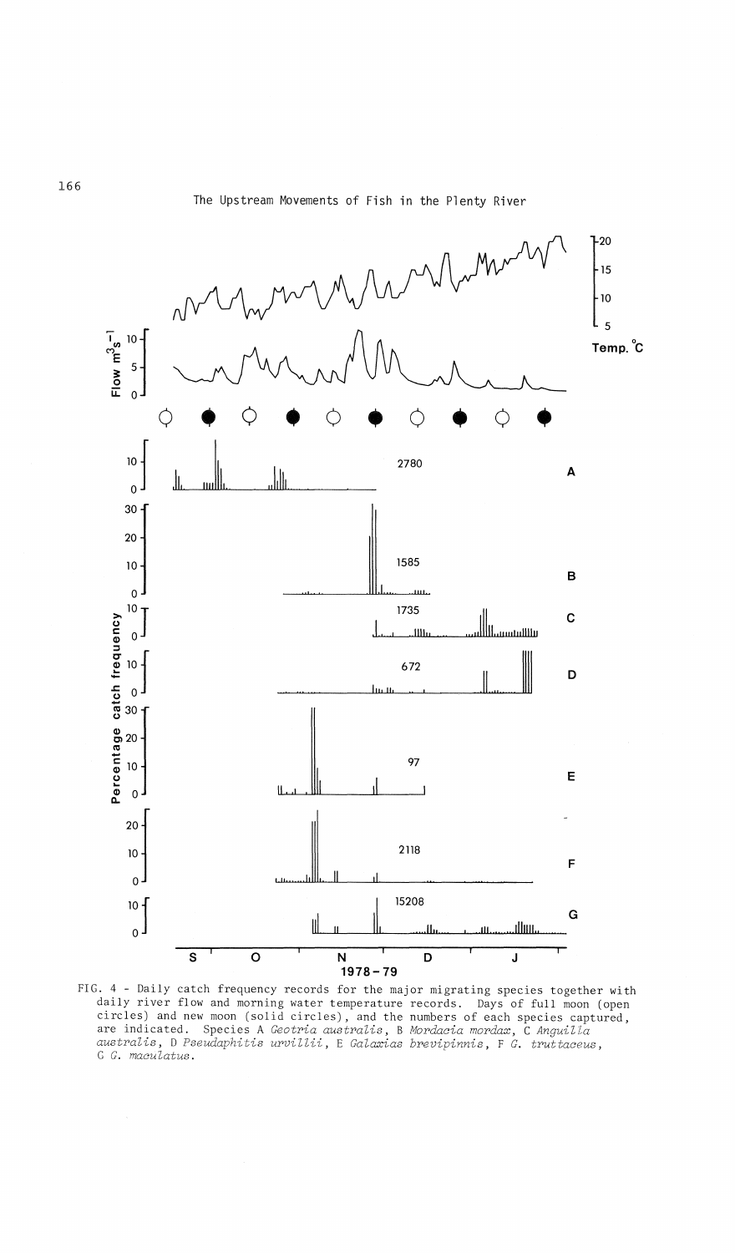

FIG. 4 - Daily catch frequency records for the major migrating species together with daily river flow and morning water temperature records. Days of full moon (open circles) and new moon (solid circles), and the numbers of each species captured, are indicated. Species A Geotria australis, B Mordacia mordax, C Anguilla<br>australis, D Pseudaphitis urvillii, E Galaxias brevipinnis, F G. truttaceus,<br>G G. maculatus.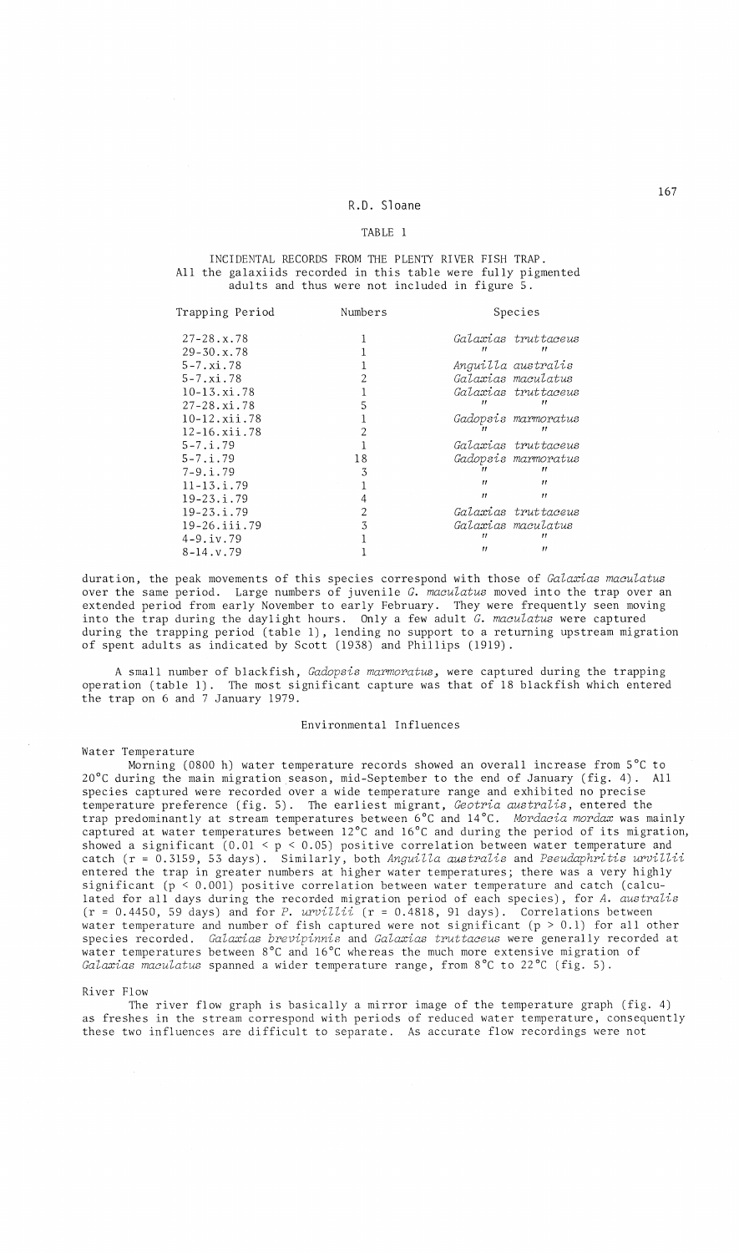# R.D. Sloane

### TABLE 1

## INCIDENTAL RECORDS FROM THE PLENTY RIVER FISH TRAP. All the galaxiids recorded in this table were fully pigmented adults and thus were not included in figure 5.

| Trapping Period            | Numbers | Species           |                            |
|----------------------------|---------|-------------------|----------------------------|
| $27 - 28. x.78$            |         |                   | Galaxias truttaceus        |
| $29 - 30 \cdot x \cdot 78$ |         |                   |                            |
| $5 - 7. x i. 78$           |         |                   | Anguilla australis         |
| $5 - 7. x i. 78$           |         |                   | Galaxias maculatus         |
| $10 - 13. x i.78$          |         |                   | Galaxias truttaceus        |
| $27 - 28. x i. 78$         |         |                   |                            |
| $10 - 12$ . xii. 78        |         |                   | <i>Gadopsis marmoratus</i> |
| 12-16.xii.78               |         |                   |                            |
| $5 - 7.1.79$               |         |                   | Galaxias truttaceus        |
| $5 - 7.1.79$               | 18      |                   | Gadopsis marmoratus        |
| $7-9.1.79$                 | 3       |                   |                            |
| $11 - 13$ . i. 79          |         | $^{\prime}$       | $^{\prime}$                |
| $19 - 23 \div 79$          |         | $^{\prime}$       | $^{\prime}$                |
| $19 - 23 \cdot i \cdot 79$ | 2       |                   | Galaxias truttaceus        |
| $19 - 26$ . iii. 79        | 3       |                   | Galarias maculatus         |
| $4 - 9.iv.79$              |         |                   |                            |
| $8 - 14$ , v. 79           |         | $^{\prime\prime}$ | $^{\prime}$                |

duration, the peak movements of this species correspond with those of *Galaxias maculatus* over the same period. Large numbers of juvenile *G. maculatus* moved into the trap over an extended period from early November to early February. They were frequently seen moving into the trap during the daylight hours. Only a few adult *G. maculatus* were captured during the trapping period (table 1), lending no support to a returning upstream migration of spent adults as indicated by Scott (1938) and Phillips (1919).

A small number of blackfish, *Gadopsis* marmoratus~ were captured during the trapping operation (table 1). The most significant capture was that of 18 blackfish which entered the trap on 6 and 7 January 1979.

# Environmental Influences

#### Water Temperature

Morning (0800 h) water temperature records showed an overall increase from 5°C to 20°C during the main migration season, mid-September to the end of January (fig. 4). All species captured were recorded over a wide temperature range and exhibited no precise temperature preference (fig. 5). The earliest migrant, *Geotria australis,* entered the trap predominantly at stream temperatures between 6°C and 14°C. *Mordacia mordax* was mainly captured at water temperatures between 12°C and 16°C and during the period of its migration, showed a significant (0.01 < P < 0.05) positive correlation between water temperature and catch (r <sup>=</sup> 0.3159,53 days). Similarly, both *Anguilla australis* and *Pseudaphritis urvillii* entered the trap in greater numbers at higher water temperatures; there was a very highly significant ( $p < 0.001$ ) positive correlation between water temperature and catch (calculated for all days during the recorded migration period of each species), for *A. australis* (r = 0.4450, 59 days) and for *P. urvillii* (r = 0.4818, 91 days). Correlations between water temperature and number of fish captured were not significant (p <sup>&</sup>gt; 0.1) for all other species recorded. *Galaxias brevipinnis* and *Galaxias truttaceus* were generally recorded at water temperatures between 8°C and 16°C whereas the much more extensive migration of *Galaxias maculatus* spanned a wider temperature range, from 8°C to 22°C (fig. 5).

#### River Flow

The river flow graph is basically a mirror image of the temperature graph (fig. 4) as freshes in the stream correspond with periods of reduced water temperature, consequently these two influences are difficult to separate. As accurate flow recordings were not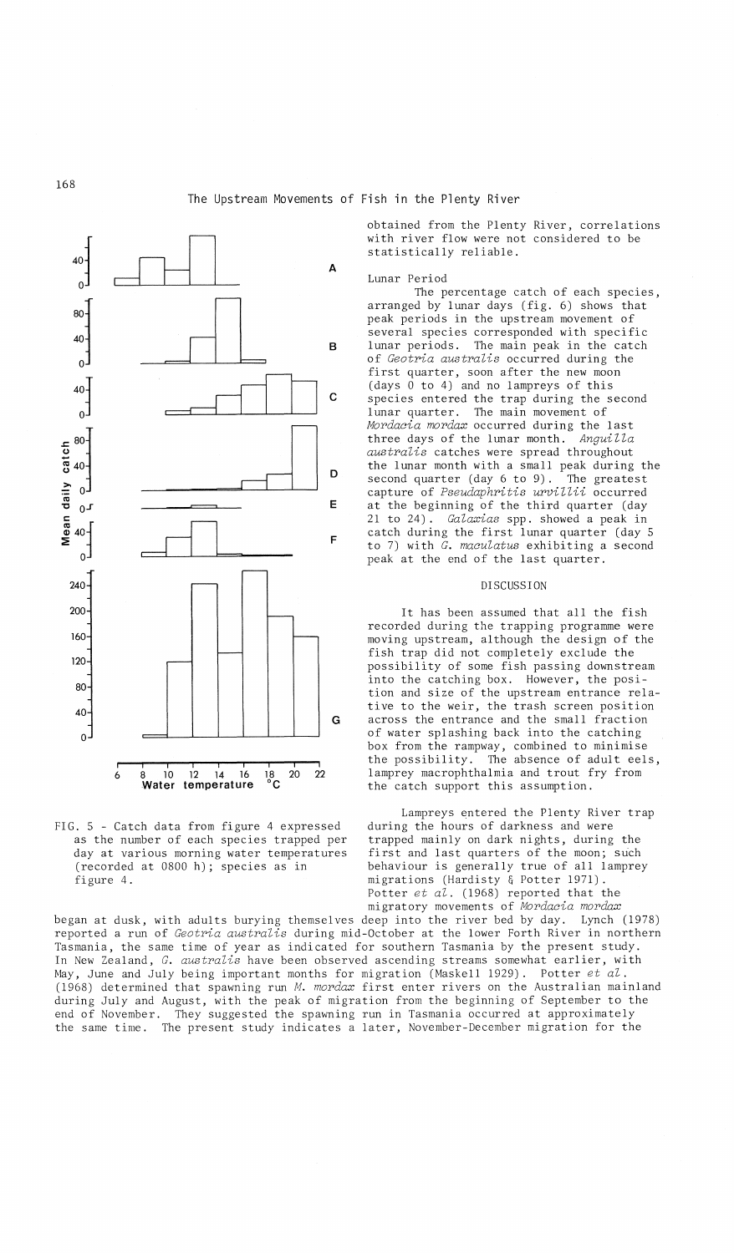

FIG. 5 - Catch data from figure 4 expressed as the number of each species trapped per day at various morning water temperatures (recorded at 0800 h); species as in figure 4.

obtained from the Plenty River, correlations with river flow were not considered to be statistically reliable.

#### Lunar Period

The percentage catch of each species, arranged by lunar days (fig. 6) shows that peak periods in the upstream movement of several species corresponded with specific lunar periods. The main peak in the catch of *Geotria australis* occurred during the first quarter, soon after the new moor (days 0 to 4) and no lampreys of this species entered the trap during the second lunar quarter. The main movement of *Mordacia mordax* occurred during the last three days of the lunar month. *Anguilla australis* catches were spread throughout the lunar month with a small peak during the second quarter (day 6 to 9). The greatest capture of *Pseudaphritis urvillii* occurred at the beginning of the third quarter (day 21 to 24). *Galaxias* spp. showed a peak in catch during the first lunar quarter (day 5 to 7) with *G. maculatus* exhibiting a second peak at the end of the last quarter.

## DISCUSSION

It has been assumed that all the fish recorded during the trapping programme were moving upstream, although the design of the fish trap did not completely exclude the possibility of some fish passing downstream into the catching box. However, the position and size of the upstream entrance relative to the weir, the trash screen position across the entrance and the small fraction of water splashing back into the catching box from the rampway, combined to minimise the possibility. The absence of adult eels, lamprey macrophthalmia and trout fry from the catch support this assumption.

Lampreys entered the Plenty River trap during the hours of darkness and were trapped mainly on dark nights, during the first and last quarters of the moon; such behaviour is generally true of all lamprey migrations (Hardisty & Potter 1971). Potter *et al.* (1968) reported that the migratory movements of *Mordacia mordax*

began at dusk, with adults burying themselves deep into the river bed by day. Lynch (1978) reported a run of *Geotria australis* during mid-October at the lower Forth River in northern Tasmania, the same time of year as indicated for southern Tasmania by the present study. In New Zealand, *G. australis* have been observed ascending streams somewhat earlier, with May, June and July being important months for migration (Maskell 1929). Potter et al. (1968) determined that spawning run *M. mordax* first enter rivers on the Australian mainland during July and August, with the peak of migration from the beginning of September to the end of November. They suggested the spawning run in Tasmania occurred at approximately the same time. The present study indicates a later, November-December migration for the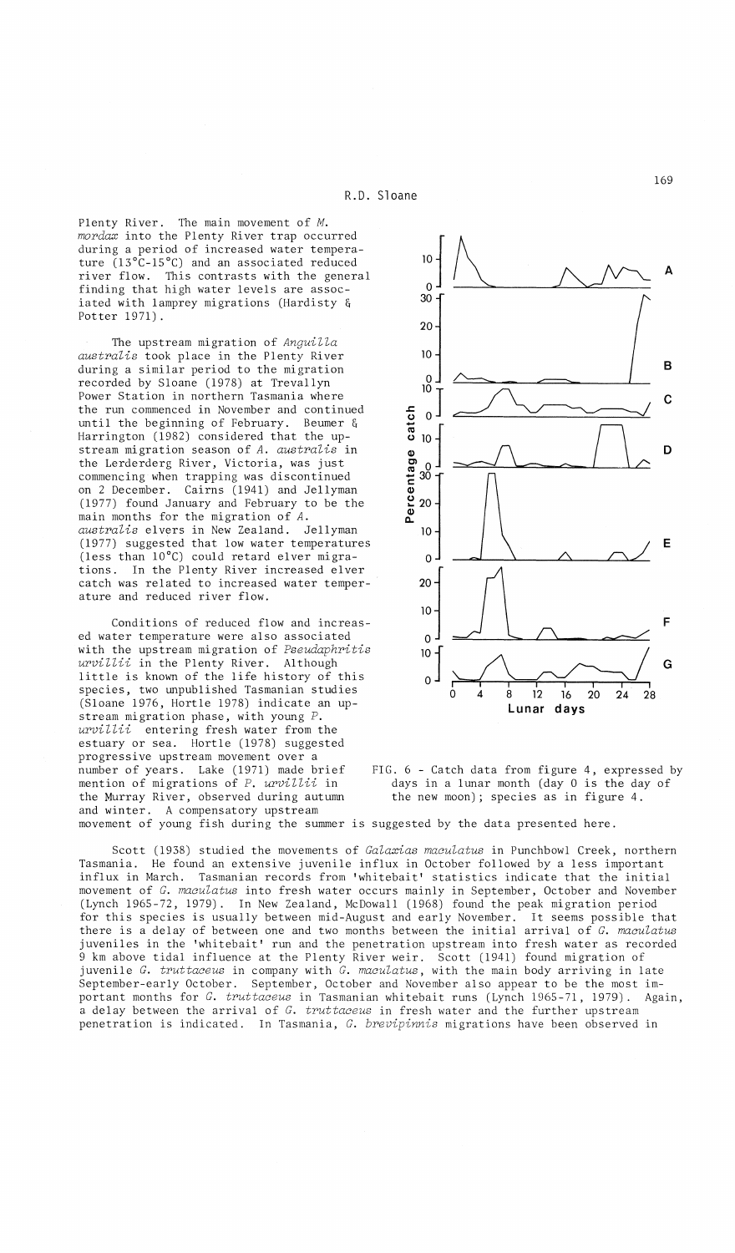Plenty River. The main movement of *M. mordax* into the Plenty River trap occurred during a period of increased water temperature (13°C-15°C) and an associated reduced river flow. This contrasts with the general finding that high water levels are associated with lamprey migrations (Hardisty & Potter 1971).

The upstream migration of *Anguilla australis* took place in the Plenty River during a similar period to the migration recorded by Sloane (1978) at Trevallyn Power Station in northern Tasmania where the run commenced in November and continued until the beginning of February. Beumer & Harrington (1982) considered that the upstream migration season of *A. australis* in the Lerderderg River, Victoria, was just commencing when trapping was discontinued on 2 December. Cairns (1941) and Jellyman (1977) found January and February to be the main months for the migration of *A. australis* elvers in New Zealand. Jellyman (1977) suggested that low water temperatures (less than 10°C) could retard elver migrations. In the Plenty River increased elver catch was related to increased water temperature and reduced river flow.

Conditions of reduced flow and increased water temperature were also associated with the upstream migration of *Pseudaphritis urvillii* in the Plenty River. Although little is known of the life history of this species, two unpublished Tasmanian studies (Sloane 1976, Hortle 1978) indicate an upstream migration phase, with young *P. urvillii* entering fresh water from the estuary or sea. Hortle (1978) suggested progressive upstream movement over a number of years. Lake (1971) made brief mention of migrations of *P. urvillii* in the Murray River, observed during autumn and winter. A compensatory upstream





movement of young fish during the summer is suggested by the data presented here.

Scott (1938) studied the movements of *Galaxias maculatus* in Punchbowl Creek, northern Tasmania. He found an extensive juvenile influx in October followed by a less important influx in March. Tasmanian records from 'whitebait' statistics indicate that the initial movement of *G. maculatus* into fresh water occurs mainly in September, October and November (Lynch 1965-72, 1979). In New Zealand, McDowall (1968) found the peak migration period for this species is usually between mid-August and early November. It seems possible that there is a delay of between one and two months between the initial arrival of *G. maculatus* juveniles in the 'whitebait' run and the penetration upstream into fresh water as recorded 9 km above tidal influence at the Plenty River weir. Scott (1941) found migration of juvenile *G. truttaceus* in company with *G. maculatus,* with the main body arriving in late September-early October. September, October and November also appear to be the most important months for *G. truttaceus* in Tasmanian whitebait runs (Lynch 1965-71, 1979). Again, a delay between the arrival of *G. truttaceus* in fresh water and the further upstream penetration is indicated. In Tasmania, *G. brevipinnis* migrations have been observed in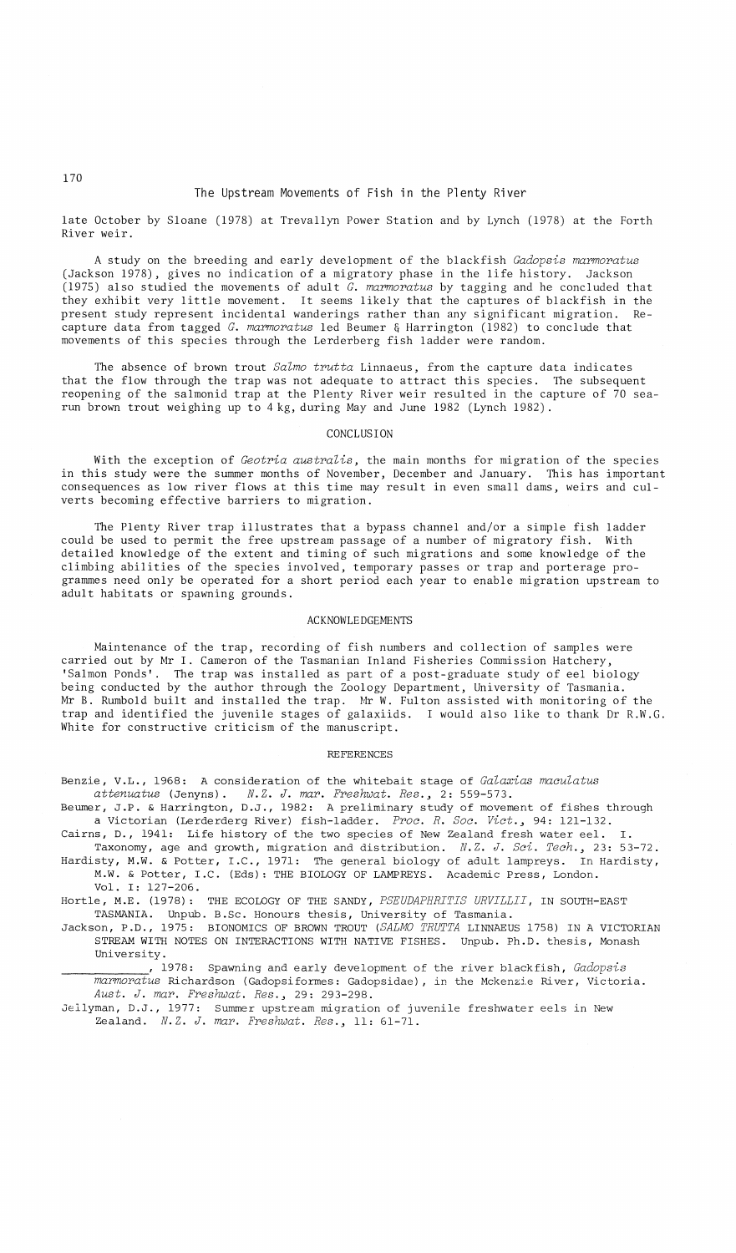# The Upstream Movements of Fish in the Plenty River

late October by Sloane (1978) at Trevallyn Power Station and by Lynch (1978) at the Forth River weir.

A study on the breeding and early development of the blackfish *Gadopsis marmoratus* (Jackson 1978), gives no indication of a migratory phase in the life history. Jackson (1975) also studied the movements of adult  $\bar{G}$ . marmoratus by tagging and he concluded that they exhibit very little movement. It seems likely that the captures of blackfish in the present study represent incidental wanderings rather than any significant migration. Re-.<br>capture data from tagged *G. marmoratus* led Beumer & Harrington (1982) to conclude that movements of this species through the Lerderberg fish ladder were random.

The absence of brown trout *Salmo trutta* Linnaeus, from the capture data indicates that the flow through the trap was not adequate to attract this species. The subsequent reopening of the salmonid trap at the Plenty River weir resulted in the capture of 70 searun brown trout weighing up to 4kg, during May and June 1982 (Lynch 1982).

### CONCLUSION

With the exception of *Geotria australis,* the main months for migration of the species in this study were the summer months of November, December and January. This has important consequences as low river flows at this time may result in even small dams, weirs and culverts becoming effective barriers to migration.

The Plenty River trap illustrates that a bypass channel and/or a simple fish ladder could be used to permit the free upstream passage of a number of migratory fish. With detailed knowledge of the extent and timing of such migrations and some knowledge of the climbing abilities of the species involved, temporary passes or trap and porterage programmes need only be operated for a short period each year to enable migration upstream to adult habitats or spawning grounds.

# ACKNOWLEDGEMENTS

Maintenance of the trap, recording of fish numbers and collection of samples were carried out by Mr I. Cameron of the Tasmanian Inland Fisheries Commission Hatchery, 'Salmon Ponds'. The trap was installed as part of a post-graduate study of eel biology being conducted by the author through the Zoology Department, University of Tasmania. Mr B. Rumbold built and installed the trap.  $~\text{Mr}$  W. Fulton assisted with monitoring of the trap and identified the juvenile stages of galaxiids. I would also like to thank Dr R.W.G. White for constructive criticism of the manuscript.

#### REFERENCES

Benzie, V.L., 1968: A consideration of the whitebait stage of *Galaxias maculatus attenuatus* (Jenyns). *N.Z. J. mar. Freshwat.* Res.~ 2: 559-573.

Beumer, J.P. & Harrington, D.J., 1982: A preliminary study of movement of fishes through a Victorian (Lerderderg River) fish-ladder. *Proc. R. Soc. Vict.*, 94: 121-132.

- Cairns, D., 1941: Life history of the two species of New Zealand fresh water eel. Taxonomy, age and growth, migration and distribution. *N.Z. J. Sci. Tech.*, 23: 53-72. Hardisty, M.W. & Potter, I.C., 1971: The general biology of adult lampreys. In Hardisty,
- M.W. & Potter, I.C. (Eds): THE BIOLOGY OF LAMPREYS. Academic Press, London. Vol. I: 127-206.

Hortle, M.E. (1978): THE ECOLOGY OF THE SANDY, *PSEUDAPHRITIS URVILLII,* IN SOUTH-EAST TASMANIA. Unpub. B.Sc.Honours thesis, University of Tasmania.

- Jackson, P.D., 1975: BIONOMICS OF BROWN TROUT *(SALMO TRUTTA* LINNAEUS 1758) IN A VICTORIAN STREAM WITH NOTES ON INTERACTIONS WITH NATIVE FISHES. Unpub. Ph.D. thesis, Monash University.
- \_\_\_\_\_\_\_\_\_\_\_\_\_, 1978: Spawning and early development of the river blackfish, *Gadopsis marmoratus* Richardson (Gadopsiformes: Gadopsidae), in the Mckenzie River, Victoria. *Aust. J. mar. Freshwat.* Res.~ 29: 293-298.

Jellyman, D.J., 1977: Summer upstream migration of juvenile freshwater eels in New Zealand. *N.Z. J. mar. Freshwat.* Res.~ 11: 61-71.

## 170